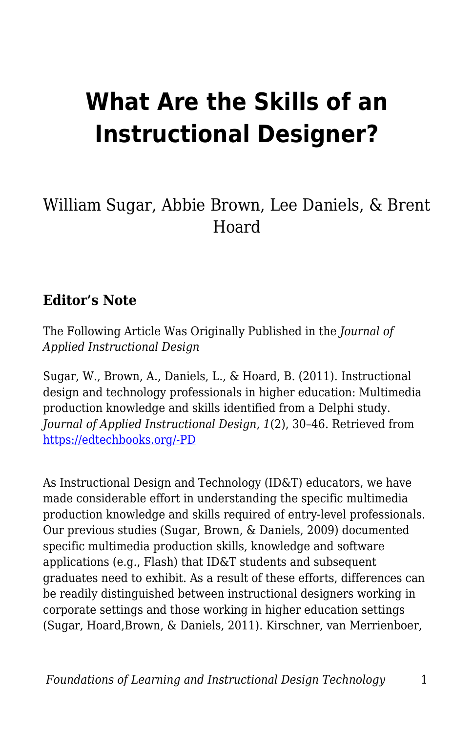# **What Are the Skills of an Instructional Designer?**

#### William Sugar, Abbie Brown, Lee Daniels, & Brent Hoard

#### **Editor's Note**

The Following Article Was Originally Published in the *Journal of Applied Instructional Design*

Sugar, W., Brown, A., Daniels, L., & Hoard, B. (2011). Instructional design and technology professionals in higher education: Multimedia production knowledge and skills identified from a Delphi study. *Journal of Applied Instructional Design, 1*(2), 30–46. Retrieved from [https://edtechbooks.org/-PD](https://www.jaid.pub/vol-1-issue-2-2011)

As Instructional Design and Technology (ID&T) educators, we have made considerable effort in understanding the specific multimedia production knowledge and skills required of entry-level professionals. Our previous studies (Sugar, Brown, & Daniels, 2009) documented specific multimedia production skills, knowledge and software applications (e.g., Flash) that ID&T students and subsequent graduates need to exhibit. As a result of these efforts, differences can be readily distinguished between instructional designers working in corporate settings and those working in higher education settings (Sugar, Hoard,Brown, & Daniels, 2011). Kirschner, van Merrienboer,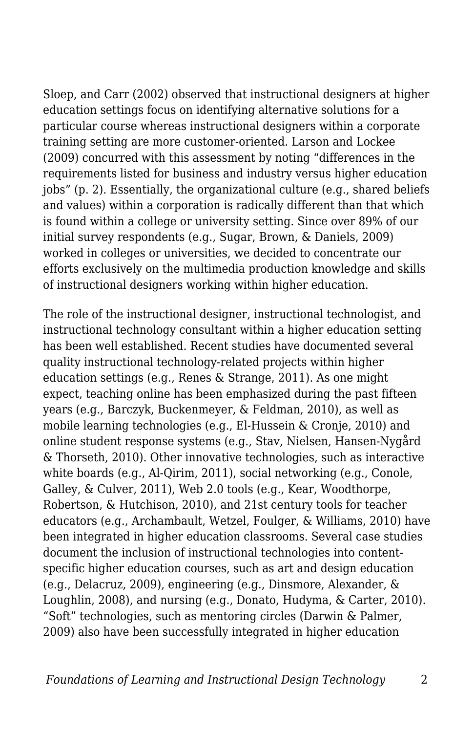Sloep, and Carr (2002) observed that instructional designers at higher education settings focus on identifying alternative solutions for a particular course whereas instructional designers within a corporate training setting are more customer-oriented. Larson and Lockee (2009) concurred with this assessment by noting "differences in the requirements listed for business and industry versus higher education jobs" (p. 2). Essentially, the organizational culture (e.g., shared beliefs and values) within a corporation is radically different than that which is found within a college or university setting. Since over 89% of our initial survey respondents (e.g., Sugar, Brown, & Daniels, 2009) worked in colleges or universities, we decided to concentrate our efforts exclusively on the multimedia production knowledge and skills of instructional designers working within higher education.

The role of the instructional designer, instructional technologist, and instructional technology consultant within a higher education setting has been well established. Recent studies have documented several quality instructional technology-related projects within higher education settings (e.g., Renes & Strange, 2011). As one might expect, teaching online has been emphasized during the past fifteen years (e.g., Barczyk, Buckenmeyer, & Feldman, 2010), as well as mobile learning technologies (e.g., El-Hussein & Cronje, 2010) and online student response systems (e.g., Stav, Nielsen, Hansen-Nygård & Thorseth, 2010). Other innovative technologies, such as interactive white boards (e.g., Al-Qirim, 2011), social networking (e.g., Conole, Galley, & Culver, 2011), Web 2.0 tools (e.g., Kear, Woodthorpe, Robertson, & Hutchison, 2010), and 21st century tools for teacher educators (e.g., Archambault, Wetzel, Foulger, & Williams, 2010) have been integrated in higher education classrooms. Several case studies document the inclusion of instructional technologies into contentspecific higher education courses, such as art and design education (e.g., Delacruz, 2009), engineering (e.g., Dinsmore, Alexander, & Loughlin, 2008), and nursing (e.g., Donato, Hudyma, & Carter, 2010). "Soft" technologies, such as mentoring circles (Darwin & Palmer, 2009) also have been successfully integrated in higher education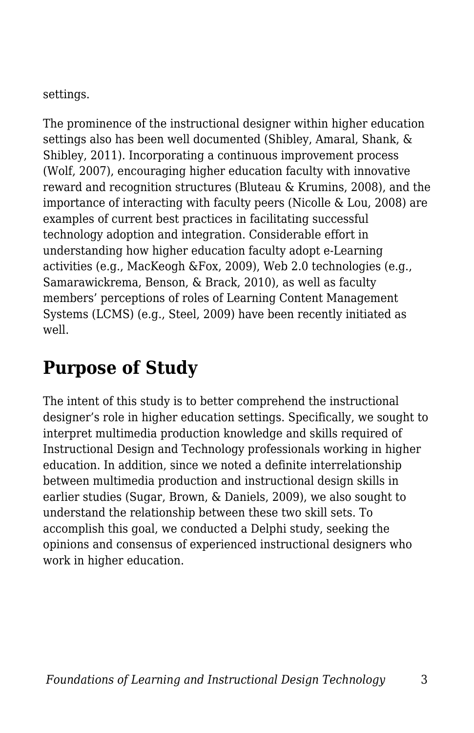settings.

The prominence of the instructional designer within higher education settings also has been well documented (Shibley, Amaral, Shank, & Shibley, 2011). Incorporating a continuous improvement process (Wolf, 2007), encouraging higher education faculty with innovative reward and recognition structures (Bluteau & Krumins, 2008), and the importance of interacting with faculty peers (Nicolle & Lou, 2008) are examples of current best practices in facilitating successful technology adoption and integration. Considerable effort in understanding how higher education faculty adopt e-Learning activities (e.g., MacKeogh &Fox, 2009), Web 2.0 technologies (e.g., Samarawickrema, Benson, & Brack, 2010), as well as faculty members' perceptions of roles of Learning Content Management Systems (LCMS) (e.g., Steel, 2009) have been recently initiated as well.

# **Purpose of Study**

The intent of this study is to better comprehend the instructional designer's role in higher education settings. Specifically, we sought to interpret multimedia production knowledge and skills required of Instructional Design and Technology professionals working in higher education. In addition, since we noted a definite interrelationship between multimedia production and instructional design skills in earlier studies (Sugar, Brown, & Daniels, 2009), we also sought to understand the relationship between these two skill sets. To accomplish this goal, we conducted a Delphi study, seeking the opinions and consensus of experienced instructional designers who work in higher education.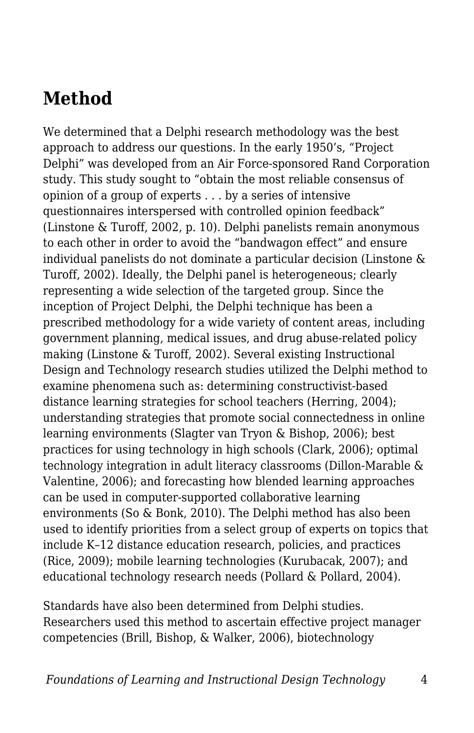### **Method**

We determined that a Delphi research methodology was the best approach to address our questions. In the early 1950's, "Project Delphi" was developed from an Air Force-sponsored Rand Corporation study. This study sought to "obtain the most reliable consensus of opinion of a group of experts . . . by a series of intensive questionnaires interspersed with controlled opinion feedback" (Linstone & Turoff, 2002, p. 10). Delphi panelists remain anonymous to each other in order to avoid the "bandwagon effect" and ensure individual panelists do not dominate a particular decision (Linstone & Turoff, 2002). Ideally, the Delphi panel is heterogeneous; clearly representing a wide selection of the targeted group. Since the inception of Project Delphi, the Delphi technique has been a prescribed methodology for a wide variety of content areas, including government planning, medical issues, and drug abuse-related policy making (Linstone & Turoff, 2002). Several existing Instructional Design and Technology research studies utilized the Delphi method to examine phenomena such as: determining constructivist-based distance learning strategies for school teachers (Herring, 2004); understanding strategies that promote social connectedness in online learning environments (Slagter van Tryon & Bishop, 2006); best practices for using technology in high schools (Clark, 2006); optimal technology integration in adult literacy classrooms (Dillon-Marable & Valentine, 2006); and forecasting how blended learning approaches can be used in computer-supported collaborative learning environments (So & Bonk, 2010). The Delphi method has also been used to identify priorities from a select group of experts on topics that include K–12 distance education research, policies, and practices (Rice, 2009); mobile learning technologies (Kurubacak, 2007); and educational technology research needs (Pollard & Pollard, 2004).

Standards have also been determined from Delphi studies. Researchers used this method to ascertain effective project manager competencies (Brill, Bishop, & Walker, 2006), biotechnology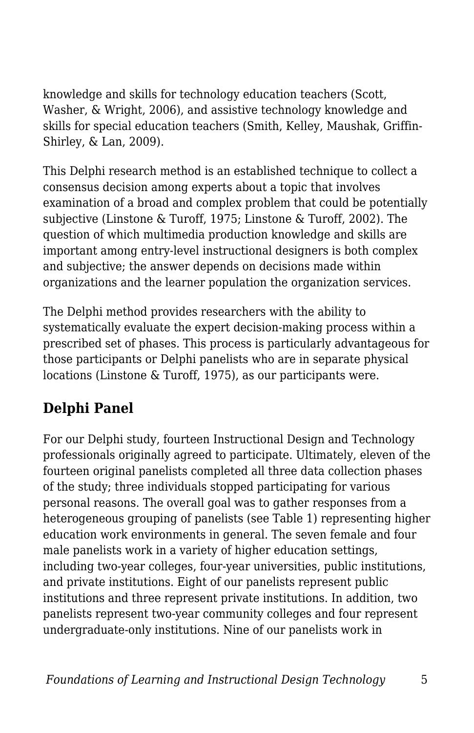knowledge and skills for technology education teachers (Scott, Washer, & Wright, 2006), and assistive technology knowledge and skills for special education teachers (Smith, Kelley, Maushak, Griffin-Shirley, & Lan, 2009).

This Delphi research method is an established technique to collect a consensus decision among experts about a topic that involves examination of a broad and complex problem that could be potentially subjective (Linstone & Turoff, 1975; Linstone & Turoff, 2002). The question of which multimedia production knowledge and skills are important among entry-level instructional designers is both complex and subjective; the answer depends on decisions made within organizations and the learner population the organization services.

The Delphi method provides researchers with the ability to systematically evaluate the expert decision-making process within a prescribed set of phases. This process is particularly advantageous for those participants or Delphi panelists who are in separate physical locations (Linstone & Turoff, 1975), as our participants were.

#### **Delphi Panel**

For our Delphi study, fourteen Instructional Design and Technology professionals originally agreed to participate. Ultimately, eleven of the fourteen original panelists completed all three data collection phases of the study; three individuals stopped participating for various personal reasons. The overall goal was to gather responses from a heterogeneous grouping of panelists (see Table 1) representing higher education work environments in general. The seven female and four male panelists work in a variety of higher education settings, including two-year colleges, four-year universities, public institutions, and private institutions. Eight of our panelists represent public institutions and three represent private institutions. In addition, two panelists represent two-year community colleges and four represent undergraduate-only institutions. Nine of our panelists work in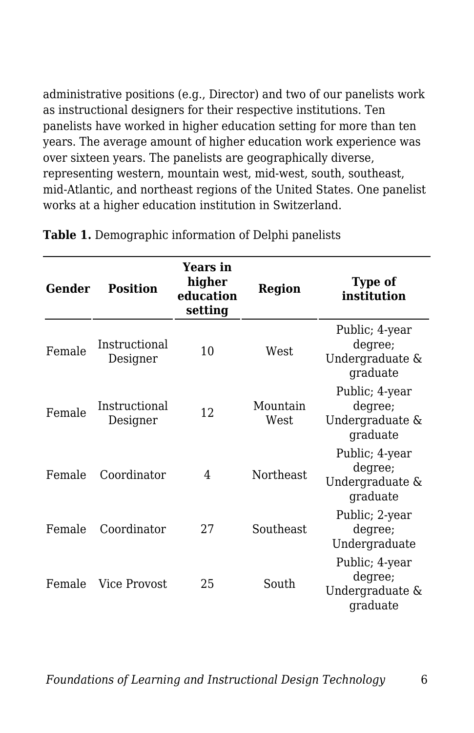administrative positions (e.g., Director) and two of our panelists work as instructional designers for their respective institutions. Ten panelists have worked in higher education setting for more than ten years. The average amount of higher education work experience was over sixteen years. The panelists are geographically diverse, representing western, mountain west, mid-west, south, southeast, mid-Atlantic, and northeast regions of the United States. One panelist works at a higher education institution in Switzerland.

| Gender | <b>Position</b>           | <b>Years in</b><br>higher<br>education<br>setting | <b>Region</b>    | <b>Type of</b><br>institution                            |
|--------|---------------------------|---------------------------------------------------|------------------|----------------------------------------------------------|
| Female | Instructional<br>Designer | 10                                                | West.            | Public; 4-year<br>degree;<br>Undergraduate &<br>graduate |
| Female | Instructional<br>Designer | 12                                                | Mountain<br>West | Public; 4-year<br>degree;<br>Undergraduate &<br>graduate |
| Female | Coordinator               | 4                                                 | Northeast        | Public; 4-year<br>degree;<br>Undergraduate &<br>graduate |
| Female | Coordinator               | 27                                                | Southeast        | Public; 2-year<br>degree;<br>Undergraduate               |
| Female | Vice Provost              | 25                                                | South            | Public; 4-year<br>degree;<br>Undergraduate &<br>graduate |

**Table 1.** Demographic information of Delphi panelists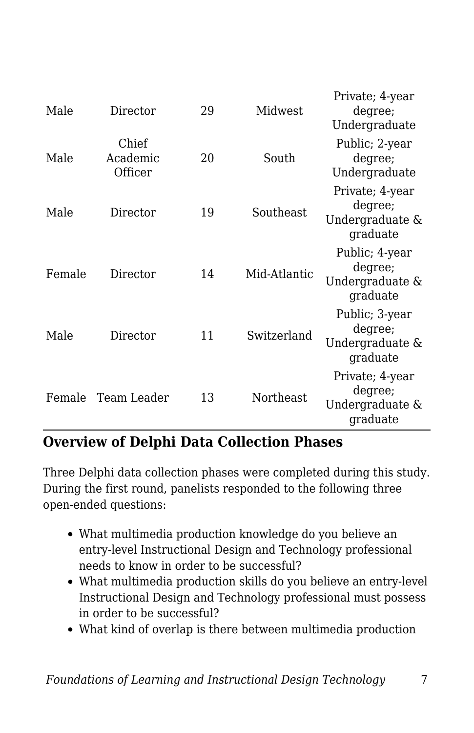| Male   | Director                     | 29 | Midwest      | Private; 4-year<br>degree;<br>Undergraduate               |
|--------|------------------------------|----|--------------|-----------------------------------------------------------|
| Male   | Chief<br>Academic<br>Officer | 20 | South        | Public; 2-year<br>degree;<br>Undergraduate                |
| Male   | Director                     | 19 | Southeast    | Private; 4-year<br>degree;<br>Undergraduate &<br>graduate |
| Female | Director                     | 14 | Mid-Atlantic | Public; 4-year<br>degree;<br>Undergraduate &<br>graduate  |
| Male   | Director                     | 11 | Switzerland  | Public; 3-year<br>degree;<br>Undergraduate &<br>graduate  |
| Female | Team Leader                  | 13 | Northeast    | Private; 4-year<br>degree;<br>Undergraduate &<br>graduate |

#### **Overview of Delphi Data Collection Phases**

Three Delphi data collection phases were completed during this study. During the first round, panelists responded to the following three open-ended questions:

- What multimedia production knowledge do you believe an entry-level Instructional Design and Technology professional needs to know in order to be successful?
- What multimedia production skills do you believe an entry-level Instructional Design and Technology professional must possess in order to be successful?
- What kind of overlap is there between multimedia production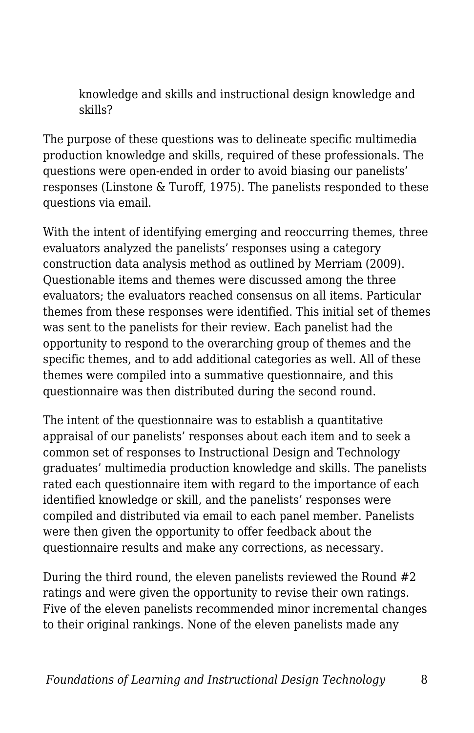knowledge and skills and instructional design knowledge and skills?

The purpose of these questions was to delineate specific multimedia production knowledge and skills, required of these professionals. The questions were open-ended in order to avoid biasing our panelists' responses (Linstone & Turoff, 1975). The panelists responded to these questions via email.

With the intent of identifying emerging and reoccurring themes, three evaluators analyzed the panelists' responses using a category construction data analysis method as outlined by Merriam (2009). Questionable items and themes were discussed among the three evaluators; the evaluators reached consensus on all items. Particular themes from these responses were identified. This initial set of themes was sent to the panelists for their review. Each panelist had the opportunity to respond to the overarching group of themes and the specific themes, and to add additional categories as well. All of these themes were compiled into a summative questionnaire, and this questionnaire was then distributed during the second round.

The intent of the questionnaire was to establish a quantitative appraisal of our panelists' responses about each item and to seek a common set of responses to Instructional Design and Technology graduates' multimedia production knowledge and skills. The panelists rated each questionnaire item with regard to the importance of each identified knowledge or skill, and the panelists' responses were compiled and distributed via email to each panel member. Panelists were then given the opportunity to offer feedback about the questionnaire results and make any corrections, as necessary.

During the third round, the eleven panelists reviewed the Round #2 ratings and were given the opportunity to revise their own ratings. Five of the eleven panelists recommended minor incremental changes to their original rankings. None of the eleven panelists made any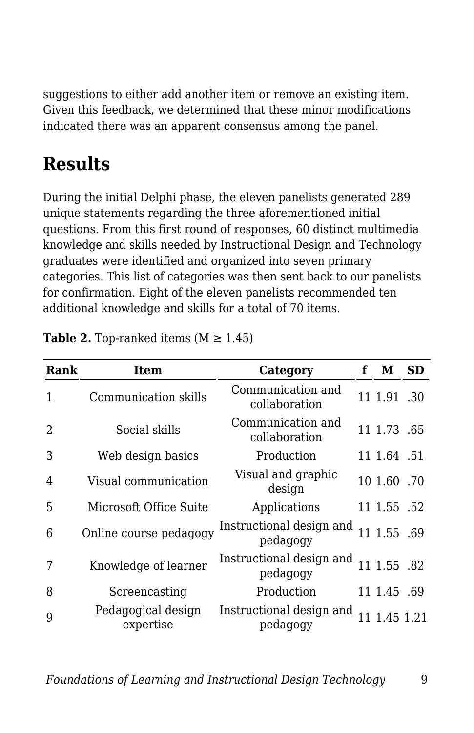suggestions to either add another item or remove an existing item. Given this feedback, we determined that these minor modifications indicated there was an apparent consensus among the panel.

# **Results**

During the initial Delphi phase, the eleven panelists generated 289 unique statements regarding the three aforementioned initial questions. From this first round of responses, 60 distinct multimedia knowledge and skills needed by Instructional Design and Technology graduates were identified and organized into seven primary categories. This list of categories was then sent back to our panelists for confirmation. Eight of the eleven panelists recommended ten additional knowledge and skills for a total of 70 items.

| Rank           | Item                            | Category                             | f | М            | <b>SD</b> |
|----------------|---------------------------------|--------------------------------------|---|--------------|-----------|
| 1              | Communication skills            | Communication and<br>collaboration   |   | 11 1.91 .30  |           |
| $\overline{2}$ | Social skills                   | Communication and<br>collaboration   |   | 11 1.73 .65  |           |
| 3              | Web design basics               | Production                           |   | 11 1.64 .51  |           |
| 4              | Visual communication            | Visual and graphic<br>design         |   | 10 1.60 .70  |           |
| 5              | Microsoft Office Suite          | Applications                         |   | 11 1.55 .52  |           |
| 6              | Online course pedagogy          | Instructional design and<br>pedagogy |   | 11 1.55 .69  |           |
| 7              | Knowledge of learner            | Instructional design and<br>pedagogy |   | 11 1.55 .82  |           |
| 8              | Screencasting                   | Production                           |   | 11 1.45 .69  |           |
| 9              | Pedagogical design<br>expertise | Instructional design and<br>pedagogy |   | 11 1.45 1.21 |           |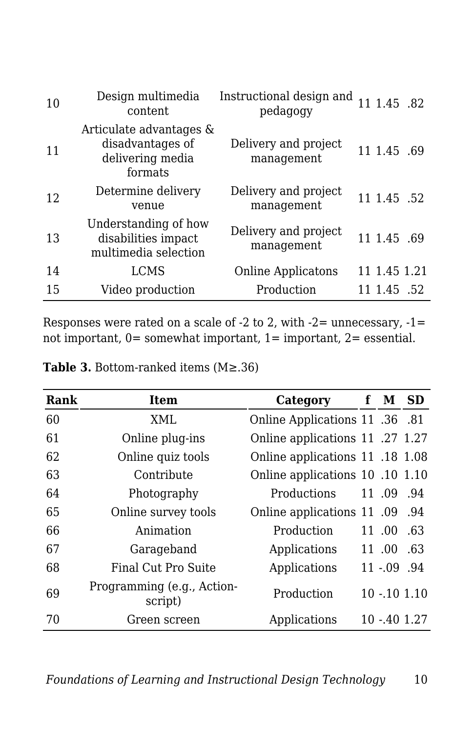| 10 | Design multimedia<br>content                                               | Instructional design and<br>pedagogy | 11 1.45 .82  |  |
|----|----------------------------------------------------------------------------|--------------------------------------|--------------|--|
| 11 | Articulate advantages &<br>disadvantages of<br>delivering media<br>formats | Delivery and project<br>management   | 11 1.45 .69  |  |
| 12 | Determine delivery<br>venue                                                | Delivery and project<br>management   | 11 1.45 .52  |  |
| 13 | Understanding of how<br>disabilities impact<br>multimedia selection        | Delivery and project<br>management   | 11 1.45 .69  |  |
| 14 | <b>LCMS</b>                                                                | <b>Online Applicatons</b>            | 11 1.45 1.21 |  |
| 15 | Video production                                                           | Production                           | 11 1.45 .52  |  |

Responses were rated on a scale of  $-2$  to 2, with  $-2$ = unnecessary,  $-1$ = not important, 0= somewhat important, 1= important, 2= essential.

| Rank | <b>Item</b>                           | Category                        | f | М             | <b>SD</b>     |
|------|---------------------------------------|---------------------------------|---|---------------|---------------|
| 60   | XML                                   | 0.81 Online Applications 11 .36 |   |               |               |
| 61   | Online plug-ins                       | Online applications 11 .27 1.27 |   |               |               |
| 62   | Online quiz tools                     | Online applications 11 .18 1.08 |   |               |               |
| 63   | Contribute                            | Online applications 10 .10 1.10 |   |               |               |
| 64   | Photography                           | Productions                     |   | 11 .09        | .94           |
| 65   | Online survey tools                   | Online applications 11 .09 .94  |   |               |               |
| 66   | Animation                             | Production                      |   | 11 .00        | .63           |
| 67   | Garageband                            | Applications                    |   | 11 .00        | .63           |
| 68   | Final Cut Pro Suite                   | Applications                    |   | $11 - 09$ .94 |               |
| 69   | Programming (e.g., Action-<br>script) | Production                      |   |               | $10 - 101110$ |
| 70   | Green screen                          | Applications                    |   |               | $10 - 401.27$ |

**Table 3.** Bottom-ranked items (M≥.36)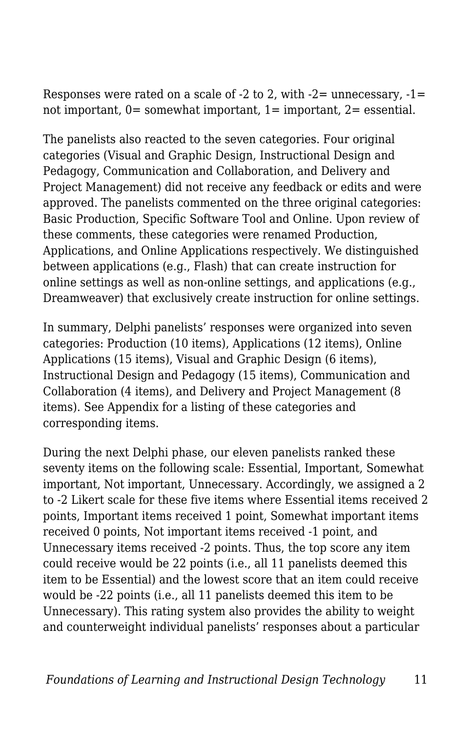Responses were rated on a scale of  $-2$  to 2, with  $-2$  = unnecessary,  $-1$  = not important, 0= somewhat important, 1= important, 2= essential.

The panelists also reacted to the seven categories. Four original categories (Visual and Graphic Design, Instructional Design and Pedagogy, Communication and Collaboration, and Delivery and Project Management) did not receive any feedback or edits and were approved. The panelists commented on the three original categories: Basic Production, Specific Software Tool and Online. Upon review of these comments, these categories were renamed Production, Applications, and Online Applications respectively. We distinguished between applications (e.g., Flash) that can create instruction for online settings as well as non-online settings, and applications (e.g., Dreamweaver) that exclusively create instruction for online settings.

In summary, Delphi panelists' responses were organized into seven categories: Production (10 items), Applications (12 items), Online Applications (15 items), Visual and Graphic Design (6 items), Instructional Design and Pedagogy (15 items), Communication and Collaboration (4 items), and Delivery and Project Management (8 items). See Appendix for a listing of these categories and corresponding items.

During the next Delphi phase, our eleven panelists ranked these seventy items on the following scale: Essential, Important, Somewhat important, Not important, Unnecessary. Accordingly, we assigned a 2 to -2 Likert scale for these five items where Essential items received 2 points, Important items received 1 point, Somewhat important items received 0 points, Not important items received -1 point, and Unnecessary items received -2 points. Thus, the top score any item could receive would be 22 points (i.e., all 11 panelists deemed this item to be Essential) and the lowest score that an item could receive would be -22 points (i.e., all 11 panelists deemed this item to be Unnecessary). This rating system also provides the ability to weight and counterweight individual panelists' responses about a particular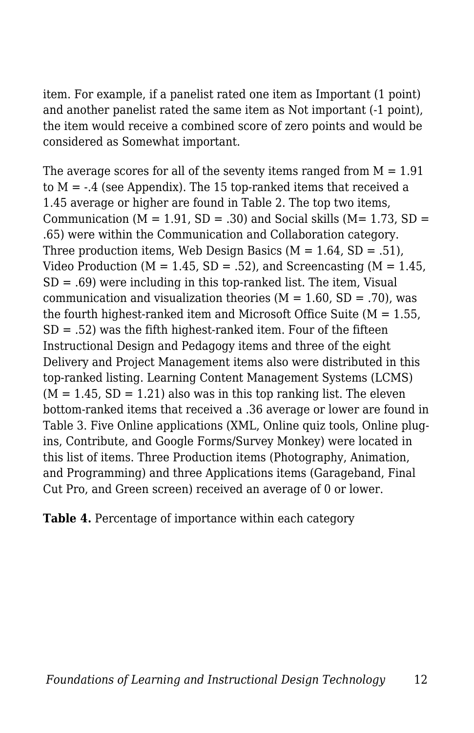item. For example, if a panelist rated one item as Important (1 point) and another panelist rated the same item as Not important (-1 point), the item would receive a combined score of zero points and would be considered as Somewhat important.

The average scores for all of the seventy items ranged from  $M = 1.91$ to  $M = -0.4$  (see Appendix). The 15 top-ranked items that received a 1.45 average or higher are found in Table 2. The top two items, Communication ( $M = 1.91$ ,  $SD = .30$ ) and Social skills ( $M = 1.73$ ,  $SD =$ .65) were within the Communication and Collaboration category. Three production items, Web Design Basics  $(M = 1.64, SD = .51)$ , Video Production ( $M = 1.45$ , SD = .52), and Screencasting ( $M = 1.45$ ,  $SD = .69$ ) were including in this top-ranked list. The item, Visual communication and visualization theories  $(M = 1.60, SD = .70)$ , was the fourth highest-ranked item and Microsoft Office Suite ( $M = 1.55$ )  $SD = .52$ ) was the fifth highest-ranked item. Four of the fifteen Instructional Design and Pedagogy items and three of the eight Delivery and Project Management items also were distributed in this top-ranked listing. Learning Content Management Systems (LCMS)  $(M = 1.45, SD = 1.21)$  also was in this top ranking list. The eleven bottom-ranked items that received a .36 average or lower are found in Table 3. Five Online applications (XML, Online quiz tools, Online plugins, Contribute, and Google Forms/Survey Monkey) were located in this list of items. Three Production items (Photography, Animation, and Programming) and three Applications items (Garageband, Final Cut Pro, and Green screen) received an average of 0 or lower.

**Table 4.** Percentage of importance within each category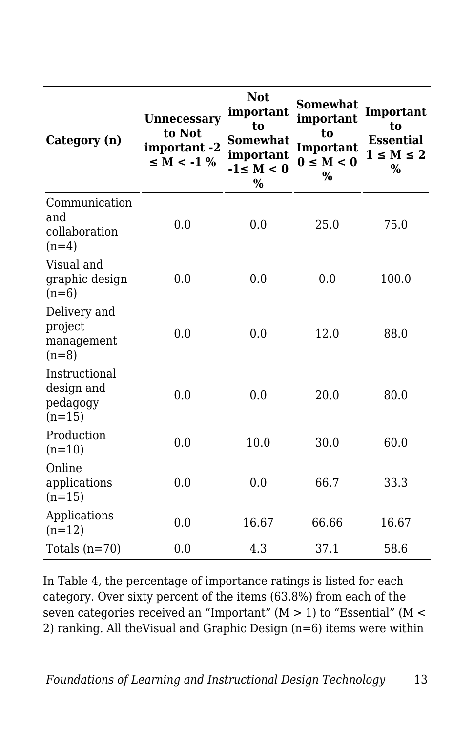| Category (n)                                        | <b>Unnecessary</b><br>to Not<br>important -2<br>$\leq M < -1$ % | <b>Not</b><br>important<br>to<br><b>Somewhat</b><br>important<br>$-1 \le M < 0$<br>$\%$ | <b>Somewhat</b><br>important<br>to<br>Important<br>$0 \le M < 0$<br>$\%$ | Important<br>to<br><b>Essential</b><br>$1 \leq M \leq 2$<br>% |
|-----------------------------------------------------|-----------------------------------------------------------------|-----------------------------------------------------------------------------------------|--------------------------------------------------------------------------|---------------------------------------------------------------|
| Communication<br>and<br>collaboration<br>$(n=4)$    | 0.0                                                             | 0.0                                                                                     | 25.0                                                                     | 75.0                                                          |
| Visual and<br>graphic design<br>$(n=6)$             | 0.0                                                             | 0.0                                                                                     | 0.0                                                                      | 100.0                                                         |
| Delivery and<br>project<br>management<br>$(n=8)$    | 0.0                                                             | 0.0                                                                                     | 12.0                                                                     | 88.0                                                          |
| Instructional<br>design and<br>pedagogy<br>$(n=15)$ | 0.0                                                             | 0.0                                                                                     | 20.0                                                                     | 80.0                                                          |
| Production<br>$(n=10)$                              | 0.0                                                             | 10.0                                                                                    | 30.0                                                                     | 60.0                                                          |
| Online<br>applications<br>$(n=15)$                  | 0.0                                                             | 0.0                                                                                     | 66.7                                                                     | 33.3                                                          |
| Applications<br>$(n=12)$                            | 0.0                                                             | 16.67                                                                                   | 66.66                                                                    | 16.67                                                         |
| Totals $(n=70)$                                     | 0.0                                                             | 4.3                                                                                     | 37.1                                                                     | 58.6                                                          |

In Table 4, the percentage of importance ratings is listed for each category. Over sixty percent of the items (63.8%) from each of the seven categories received an "Important" (M > 1) to "Essential" (M < 2) ranking. All theVisual and Graphic Design (n=6) items were within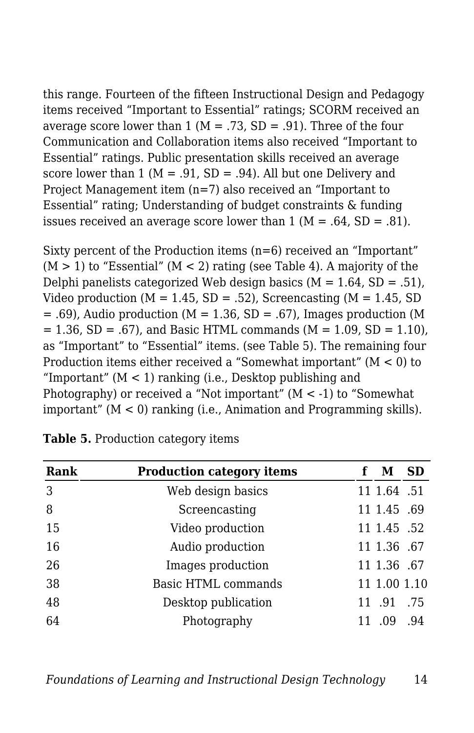this range. Fourteen of the fifteen Instructional Design and Pedagogy items received "Important to Essential" ratings; SCORM received an average score lower than 1 ( $M = .73$ , SD = .91). Three of the four Communication and Collaboration items also received "Important to Essential" ratings. Public presentation skills received an average score lower than 1 ( $M = .91$ ,  $SD = .94$ ). All but one Delivery and Project Management item (n=7) also received an "Important to Essential" rating; Understanding of budget constraints & funding issues received an average score lower than  $1 (M = .64, SD = .81)$ .

Sixty percent of the Production items (n=6) received an "Important"  $(M > 1)$  to "Essential"  $(M < 2)$  rating (see Table 4). A majority of the Delphi panelists categorized Web design basics  $(M = 1.64, SD = .51)$ , Video production ( $M = 1.45$ , SD = .52), Screencasting ( $M = 1.45$ , SD  $= .69$ ), Audio production (M = 1.36, SD = .67), Images production (M  $= 1.36$ , SD = .67), and Basic HTML commands (M = 1.09, SD = 1.10), as "Important" to "Essential" items. (see Table 5). The remaining four Production items either received a "Somewhat important"  $(M < 0)$  to "Important"  $(M < 1)$  ranking (i.e., Desktop publishing and Photography) or received a "Not important" (M < -1) to "Somewhat important" (M < 0) ranking (i.e., Animation and Programming skills).

| Rank | <b>Production category items</b> | M            | <b>SD</b> |
|------|----------------------------------|--------------|-----------|
| 3    | Web design basics                | 11 1.64 .51  |           |
| 8    | Screencasting                    | 11 1.45 .69  |           |
| 15   | Video production                 | 11 1.45 .52  |           |
| 16   | Audio production                 | 11 1.36 .67  |           |
| 26   | Images production                | 11 1.36 .67  |           |
| 38   | <b>Basic HTML commands</b>       | 11 1.00 1.10 |           |
| 48   | Desktop publication              | 11 .91       | .75       |
| 64   | Photography                      | .09          | .94       |

| Table 5. Production category items |  |  |  |  |
|------------------------------------|--|--|--|--|
|------------------------------------|--|--|--|--|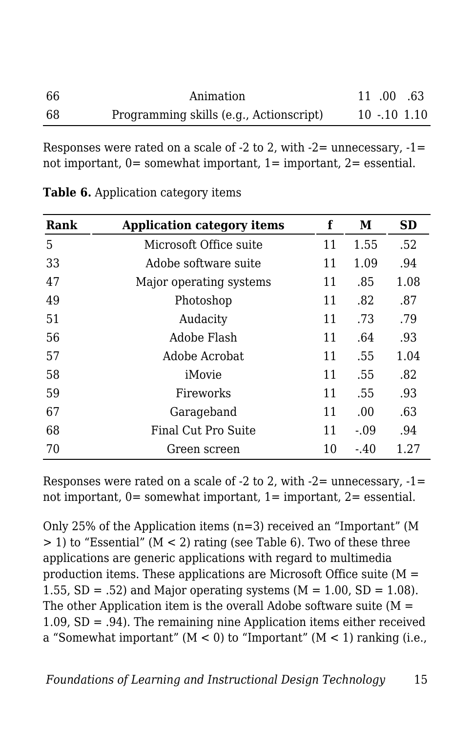| 66 | Animation                               | 11 .00 .63 |              |
|----|-----------------------------------------|------------|--------------|
| 68 | Programming skills (e.g., Actionscript) |            | $10 - 10110$ |

Responses were rated on a scale of  $-2$  to 2, with  $-2$  = unnecessary,  $-1$  = not important,  $0=$  somewhat important,  $1=$  important,  $2=$  essential.

| Rank | <b>Application category items</b> | f  | М      | <b>SD</b> |
|------|-----------------------------------|----|--------|-----------|
| 5    | Microsoft Office suite            | 11 | 1.55   | .52       |
| 33   | Adobe software suite              | 11 | 1.09   | .94       |
| 47   | Major operating systems           | 11 | .85    | 1.08      |
| 49   | Photoshop                         | 11 | .82    | .87       |
| 51   | Audacity                          | 11 | .73    | .79       |
| 56   | Adobe Flash                       | 11 | .64    | .93       |
| 57   | Adobe Acrobat                     | 11 | .55    | 1.04      |
| 58   | iMovie                            | 11 | .55    | .82       |
| 59   | Fireworks                         | 11 | .55    | .93       |
| 67   | Garageband                        | 11 | .00.   | .63       |
| 68   | Final Cut Pro Suite               | 11 | $-.09$ | .94       |
| 70   | Green screen                      | 10 | $-40$  | 1.27      |

|  |  | Table 6. Application category items |  |  |
|--|--|-------------------------------------|--|--|
|--|--|-------------------------------------|--|--|

Responses were rated on a scale of  $-2$  to 2, with  $-2$  = unnecessary,  $-1$  = not important, 0= somewhat important, 1= important, 2= essential.

Only 25% of the Application items (n=3) received an "Important" (M > 1) to "Essential" (M < 2) rating (see Table 6). Two of these three applications are generic applications with regard to multimedia production items. These applications are Microsoft Office suite ( $M =$ 1.55,  $SD = .52$ ) and Major operating systems ( $M = 1.00$ ,  $SD = 1.08$ ). The other Application item is the overall Adobe software suite  $(M =$ 1.09, SD = .94). The remaining nine Application items either received a "Somewhat important"  $(M < 0)$  to "Important"  $(M < 1)$  ranking (i.e.,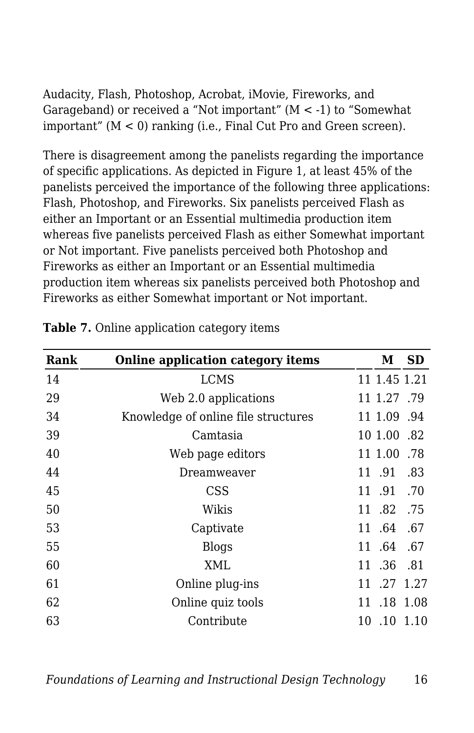Audacity, Flash, Photoshop, Acrobat, iMovie, Fireworks, and Garageband) or received a "Not important"  $(M < -1)$  to "Somewhat important" (M < 0) ranking (i.e., Final Cut Pro and Green screen).

There is disagreement among the panelists regarding the importance of specific applications. As depicted in Figure 1, at least 45% of the panelists perceived the importance of the following three applications: Flash, Photoshop, and Fireworks. Six panelists perceived Flash as either an Important or an Essential multimedia production item whereas five panelists perceived Flash as either Somewhat important or Not important. Five panelists perceived both Photoshop and Fireworks as either an Important or an Essential multimedia production item whereas six panelists perceived both Photoshop and Fireworks as either Somewhat important or Not important.

| Rank | <b>Online application category items</b> | М            | <b>SD</b>   |
|------|------------------------------------------|--------------|-------------|
| 14   | LCMS                                     | 11 1.45 1.21 |             |
| 29   | Web 2.0 applications                     | 11 1.27 .79  |             |
| 34   | Knowledge of online file structures      | 11 1.09 .94  |             |
| 39   | Camtasia                                 | 10 1.00 .82  |             |
| 40   | Web page editors                         | 11 1.00 .78  |             |
| 44   | Dreamweaver                              | 11 .91       | .83         |
| 45   | <b>CSS</b>                               | 11 .91 .70   |             |
| 50   | Wikis                                    | 11.82        | .75         |
| 53   | Captivate                                | 11 .64       | .67         |
| 55   | <b>Blogs</b>                             | 11 .64       | .67         |
| 60   | XML                                      | 11 .36 .81   |             |
| 61   | Online plug-ins                          | 11 .27 1.27  |             |
| 62   | Online quiz tools                        |              | 11 .18 1.08 |
| 63   | Contribute                               |              | 10 .10 1.10 |

|  | Table 7. Online application category items |  |
|--|--------------------------------------------|--|
|  |                                            |  |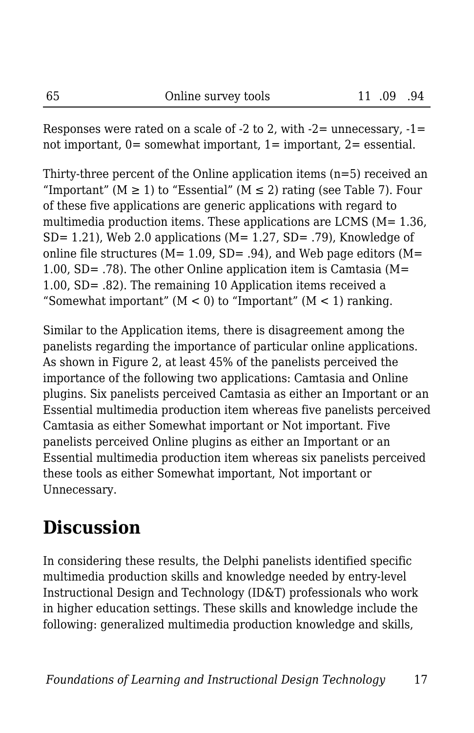Responses were rated on a scale of  $-2$  to 2, with  $-2$  = unnecessary,  $-1$  = not important,  $0=$  somewhat important,  $1=$  important,  $2=$  essential.

Thirty-three percent of the Online application items  $(n=5)$  received an "Important" ( $M \ge 1$ ) to "Essential" ( $M \le 2$ ) rating (see Table 7). Four of these five applications are generic applications with regard to multimedia production items. These applications are LCMS  $(M= 1.36)$ , SD= 1.21), Web 2.0 applications (M= 1.27, SD= .79), Knowledge of online file structures ( $M= 1.09$ ,  $SD = .94$ ), and Web page editors ( $M=$ 1.00, SD= .78). The other Online application item is Camtasia (M= 1.00, SD= .82). The remaining 10 Application items received a "Somewhat important"  $(M < 0)$  to "Important"  $(M < 1)$  ranking.

Similar to the Application items, there is disagreement among the panelists regarding the importance of particular online applications. As shown in Figure 2, at least 45% of the panelists perceived the importance of the following two applications: Camtasia and Online plugins. Six panelists perceived Camtasia as either an Important or an Essential multimedia production item whereas five panelists perceived Camtasia as either Somewhat important or Not important. Five panelists perceived Online plugins as either an Important or an Essential multimedia production item whereas six panelists perceived these tools as either Somewhat important, Not important or Unnecessary.

### **Discussion**

In considering these results, the Delphi panelists identified specific multimedia production skills and knowledge needed by entry-level Instructional Design and Technology (ID&T) professionals who work in higher education settings. These skills and knowledge include the following: generalized multimedia production knowledge and skills,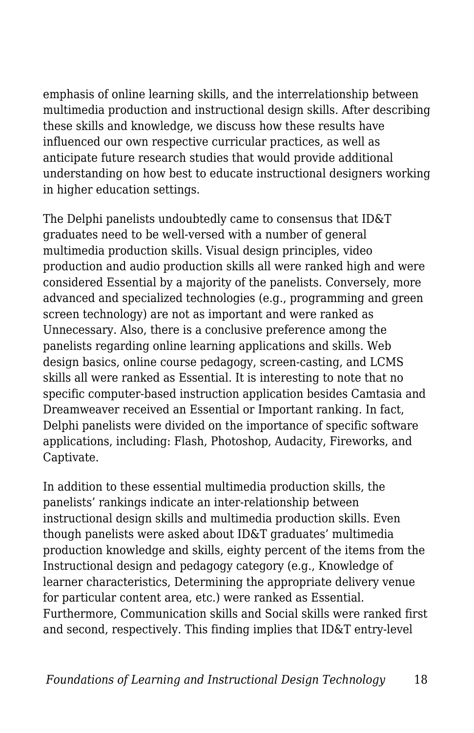emphasis of online learning skills, and the interrelationship between multimedia production and instructional design skills. After describing these skills and knowledge, we discuss how these results have influenced our own respective curricular practices, as well as anticipate future research studies that would provide additional understanding on how best to educate instructional designers working in higher education settings.

The Delphi panelists undoubtedly came to consensus that ID&T graduates need to be well-versed with a number of general multimedia production skills. Visual design principles, video production and audio production skills all were ranked high and were considered Essential by a majority of the panelists. Conversely, more advanced and specialized technologies (e.g., programming and green screen technology) are not as important and were ranked as Unnecessary. Also, there is a conclusive preference among the panelists regarding online learning applications and skills. Web design basics, online course pedagogy, screen-casting, and LCMS skills all were ranked as Essential. It is interesting to note that no specific computer-based instruction application besides Camtasia and Dreamweaver received an Essential or Important ranking. In fact, Delphi panelists were divided on the importance of specific software applications, including: Flash, Photoshop, Audacity, Fireworks, and Captivate.

In addition to these essential multimedia production skills, the panelists' rankings indicate an inter-relationship between instructional design skills and multimedia production skills. Even though panelists were asked about ID&T graduates' multimedia production knowledge and skills, eighty percent of the items from the Instructional design and pedagogy category (e.g., Knowledge of learner characteristics, Determining the appropriate delivery venue for particular content area, etc.) were ranked as Essential. Furthermore, Communication skills and Social skills were ranked first and second, respectively. This finding implies that ID&T entry-level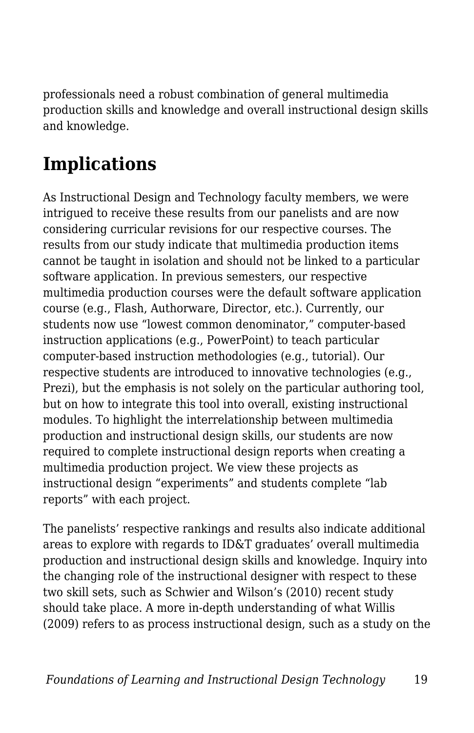professionals need a robust combination of general multimedia production skills and knowledge and overall instructional design skills and knowledge.

# **Implications**

As Instructional Design and Technology faculty members, we were intrigued to receive these results from our panelists and are now considering curricular revisions for our respective courses. The results from our study indicate that multimedia production items cannot be taught in isolation and should not be linked to a particular software application. In previous semesters, our respective multimedia production courses were the default software application course (e.g., Flash, Authorware, Director, etc.). Currently, our students now use "lowest common denominator," computer-based instruction applications (e.g., PowerPoint) to teach particular computer-based instruction methodologies (e.g., tutorial). Our respective students are introduced to innovative technologies (e.g., Prezi), but the emphasis is not solely on the particular authoring tool, but on how to integrate this tool into overall, existing instructional modules. To highlight the interrelationship between multimedia production and instructional design skills, our students are now required to complete instructional design reports when creating a multimedia production project. We view these projects as instructional design "experiments" and students complete "lab reports" with each project.

The panelists' respective rankings and results also indicate additional areas to explore with regards to ID&T graduates' overall multimedia production and instructional design skills and knowledge. Inquiry into the changing role of the instructional designer with respect to these two skill sets, such as Schwier and Wilson's (2010) recent study should take place. A more in-depth understanding of what Willis (2009) refers to as process instructional design, such as a study on the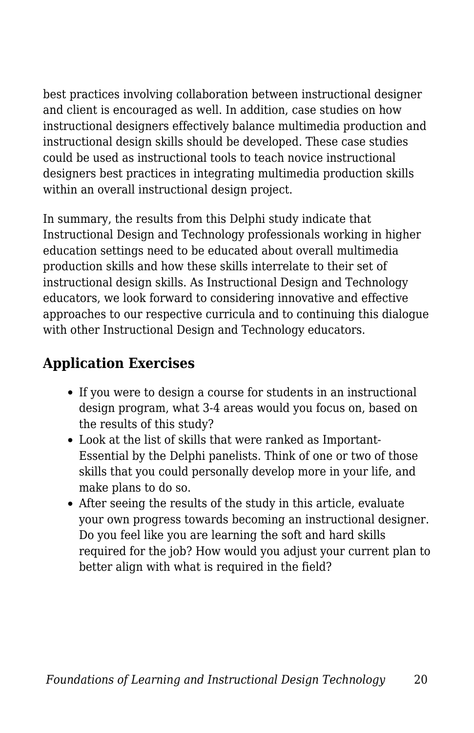best practices involving collaboration between instructional designer and client is encouraged as well. In addition, case studies on how instructional designers effectively balance multimedia production and instructional design skills should be developed. These case studies could be used as instructional tools to teach novice instructional designers best practices in integrating multimedia production skills within an overall instructional design project.

In summary, the results from this Delphi study indicate that Instructional Design and Technology professionals working in higher education settings need to be educated about overall multimedia production skills and how these skills interrelate to their set of instructional design skills. As Instructional Design and Technology educators, we look forward to considering innovative and effective approaches to our respective curricula and to continuing this dialogue with other Instructional Design and Technology educators.

#### **Application Exercises**

- If you were to design a course for students in an instructional design program, what 3-4 areas would you focus on, based on the results of this study?
- Look at the list of skills that were ranked as Important-Essential by the Delphi panelists. Think of one or two of those skills that you could personally develop more in your life, and make plans to do so.
- After seeing the results of the study in this article, evaluate your own progress towards becoming an instructional designer. Do you feel like you are learning the soft and hard skills required for the job? How would you adjust your current plan to better align with what is required in the field?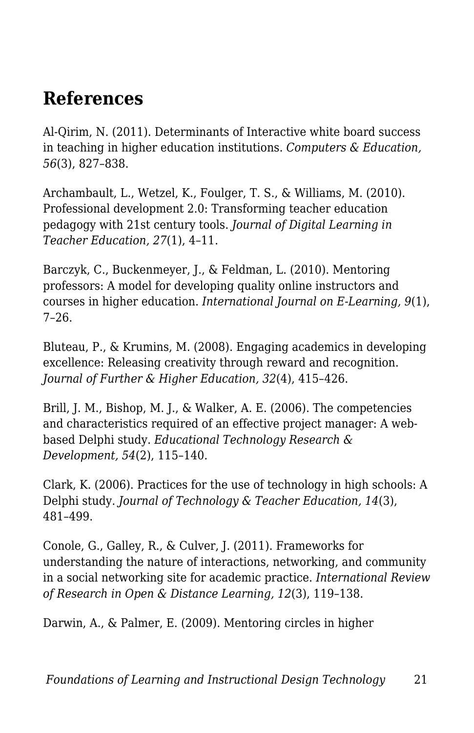### **References**

Al-Qirim, N. (2011). Determinants of Interactive white board success in teaching in higher education institutions. *Computers & Education, 56*(3), 827–838.

Archambault, L., Wetzel, K., Foulger, T. S., & Williams, M. (2010). Professional development 2.0: Transforming teacher education pedagogy with 21st century tools. *Journal of Digital Learning in Teacher Education, 27*(1), 4–11.

Barczyk, C., Buckenmeyer, J., & Feldman, L. (2010). Mentoring professors: A model for developing quality online instructors and courses in higher education. *International Journal on E-Learning, 9*(1), 7–26.

Bluteau, P., & Krumins, M. (2008). Engaging academics in developing excellence: Releasing creativity through reward and recognition. *Journal of Further & Higher Education, 32*(4), 415–426.

Brill, J. M., Bishop, M. J., & Walker, A. E. (2006). The competencies and characteristics required of an effective project manager: A webbased Delphi study. *Educational Technology Research & Development, 54*(2), 115–140.

Clark, K. (2006). Practices for the use of technology in high schools: A Delphi study. *Journal of Technology & Teacher Education, 14*(3), 481–499.

Conole, G., Galley, R., & Culver, J. (2011). Frameworks for understanding the nature of interactions, networking, and community in a social networking site for academic practice. *International Review of Research in Open & Distance Learning, 12*(3), 119–138.

Darwin, A., & Palmer, E. (2009). Mentoring circles in higher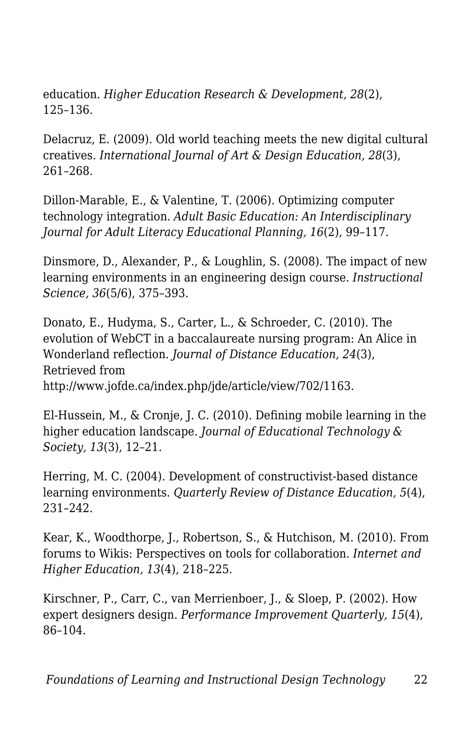education. *Higher Education Research & Development, 28*(2), 125–136.

Delacruz, E. (2009). Old world teaching meets the new digital cultural creatives. *International Journal of Art & Design Education, 28*(3), 261–268.

Dillon-Marable, E., & Valentine, T. (2006). Optimizing computer technology integration. *Adult Basic Education: An Interdisciplinary Journal for Adult Literacy Educational Planning, 16*(2), 99–117.

Dinsmore, D., Alexander, P., & Loughlin, S. (2008). The impact of new learning environments in an engineering design course. *Instructional Science, 36*(5/6), 375–393.

Donato, E., Hudyma, S., Carter, L., & Schroeder, C. (2010). The evolution of WebCT in a baccalaureate nursing program: An Alice in Wonderland reflection. *Journal of Distance Education, 24*(3), Retrieved from http://www.jofde.ca/index.php/jde/article/view/702/1163.

El-Hussein, M., & Cronje, J. C. (2010). Defining mobile learning in the higher education landscape. *Journal of Educational Technology & Society, 13*(3), 12–21.

Herring, M. C. (2004). Development of constructivist-based distance learning environments. *Quarterly Review of Distance Education, 5*(4), 231–242.

Kear, K., Woodthorpe, J., Robertson, S., & Hutchison, M. (2010). From forums to Wikis: Perspectives on tools for collaboration. *Internet and Higher Education, 13*(4), 218–225.

Kirschner, P., Carr, C., van Merrienboer, J., & Sloep, P. (2002). How expert designers design. *Performance Improvement Quarterly, 15*(4), 86–104.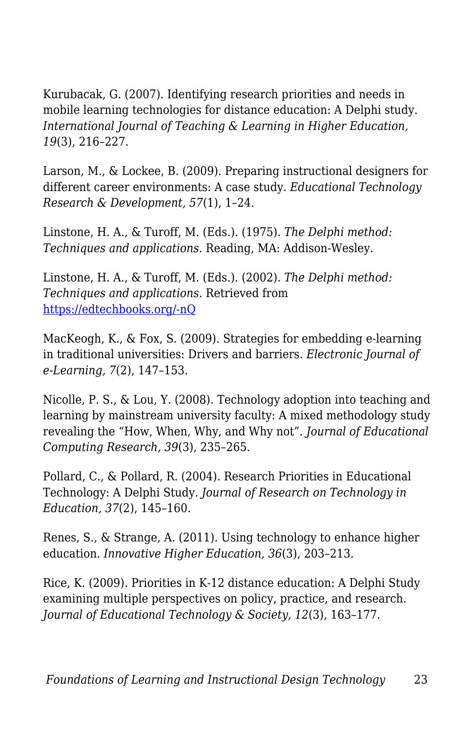Kurubacak, G. (2007). Identifying research priorities and needs in mobile learning technologies for distance education: A Delphi study. *International Journal of Teaching & Learning in Higher Education, 19*(3), 216–227.

Larson, M., & Lockee, B. (2009). Preparing instructional designers for different career environments: A case study. *Educational Technology Research & Development, 57*(1), 1–24.

Linstone, H. A., & Turoff, M. (Eds.). (1975). *The Delphi method: Techniques and applications.* Reading, MA: Addison-Wesley.

Linstone, H. A., & Turoff, M. (Eds.). (2002). *The Delphi method: Techniques and applications.* Retrieved from [https://edtechbooks.org/-nQ](http://is.njit.edu/pubs/delphibook/delphibook.pdf)

MacKeogh, K., & Fox, S. (2009). Strategies for embedding e-learning in traditional universities: Drivers and barriers. *Electronic Journal of e-Learning, 7*(2), 147–153.

Nicolle, P. S., & Lou, Y. (2008). Technology adoption into teaching and learning by mainstream university faculty: A mixed methodology study revealing the "How, When, Why, and Why not". *Journal of Educational Computing Research, 39*(3), 235–265.

Pollard, C., & Pollard, R. (2004). Research Priorities in Educational Technology: A Delphi Study. *Journal of Research on Technology in Education, 37*(2), 145–160.

Renes, S., & Strange, A. (2011). Using technology to enhance higher education. *Innovative Higher Education, 36*(3), 203–213.

Rice, K. (2009). Priorities in K-12 distance education: A Delphi Study examining multiple perspectives on policy, practice, and research. *Journal of Educational Technology & Society, 12*(3), 163–177.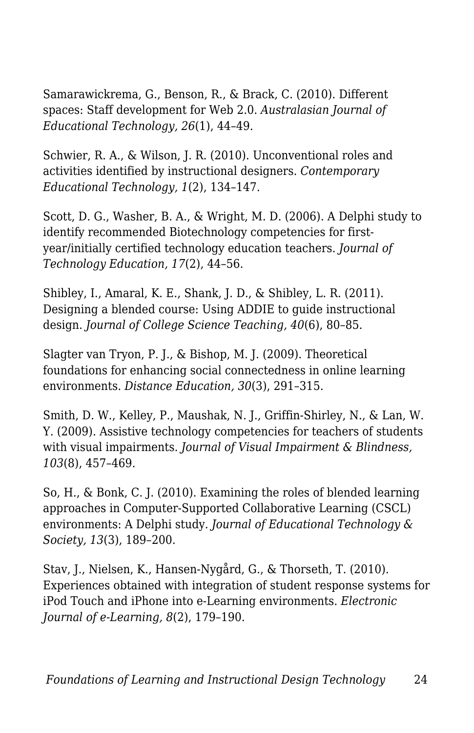Samarawickrema, G., Benson, R., & Brack, C. (2010). Different spaces: Staff development for Web 2.0. *Australasian Journal of Educational Technology, 26*(1), 44–49.

Schwier, R. A., & Wilson, J. R. (2010). Unconventional roles and activities identified by instructional designers. *Contemporary Educational Technology, 1*(2), 134–147.

Scott, D. G., Washer, B. A., & Wright, M. D. (2006). A Delphi study to identify recommended Biotechnology competencies for firstyear/initially certified technology education teachers. *Journal of Technology Education, 17*(2), 44–56.

Shibley, I., Amaral, K. E., Shank, J. D., & Shibley, L. R. (2011). Designing a blended course: Using ADDIE to guide instructional design. *Journal of College Science Teaching, 40*(6), 80–85.

Slagter van Tryon, P. J., & Bishop, M. J. (2009). Theoretical foundations for enhancing social connectedness in online learning environments. *Distance Education, 30*(3), 291–315.

Smith, D. W., Kelley, P., Maushak, N. J., Griffin-Shirley, N., & Lan, W. Y. (2009). Assistive technology competencies for teachers of students with visual impairments. *Journal of Visual Impairment & Blindness, 103*(8), 457–469.

So, H., & Bonk, C. J. (2010). Examining the roles of blended learning approaches in Computer-Supported Collaborative Learning (CSCL) environments: A Delphi study. *Journal of Educational Technology & Society, 13*(3), 189–200.

Stav, J., Nielsen, K., Hansen-Nygård, G., & Thorseth, T. (2010). Experiences obtained with integration of student response systems for iPod Touch and iPhone into e-Learning environments. *Electronic Journal of e-Learning, 8*(2), 179–190.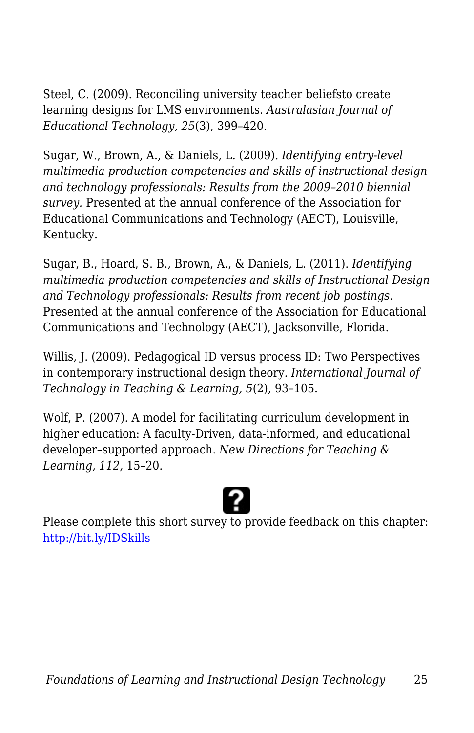Steel, C. (2009). Reconciling university teacher beliefsto create learning designs for LMS environments. *Australasian Journal of Educational Technology, 25*(3), 399–420.

Sugar, W., Brown, A., & Daniels, L. (2009). *Identifying entry-level multimedia production competencies and skills of instructional design and technology professionals: Results from the 2009–2010 biennial survey.* Presented at the annual conference of the Association for Educational Communications and Technology (AECT), Louisville, Kentucky.

Sugar, B., Hoard, S. B., Brown, A., & Daniels, L. (2011). *Identifying multimedia production competencies and skills of Instructional Design and Technology professionals: Results from recent job postings.* Presented at the annual conference of the Association for Educational Communications and Technology (AECT), Jacksonville, Florida.

Willis, J. (2009). Pedagogical ID versus process ID: Two Perspectives in contemporary instructional design theory. *International Journal of Technology in Teaching & Learning, 5*(2), 93–105.

Wolf, P. (2007). A model for facilitating curriculum development in higher education: A faculty-Driven, data-informed, and educational developer–supported approach. *New Directions for Teaching & Learning, 112,* 15–20.



Please complete this short survey to provide feedback on this chapter: <http://bit.ly/IDSkills>